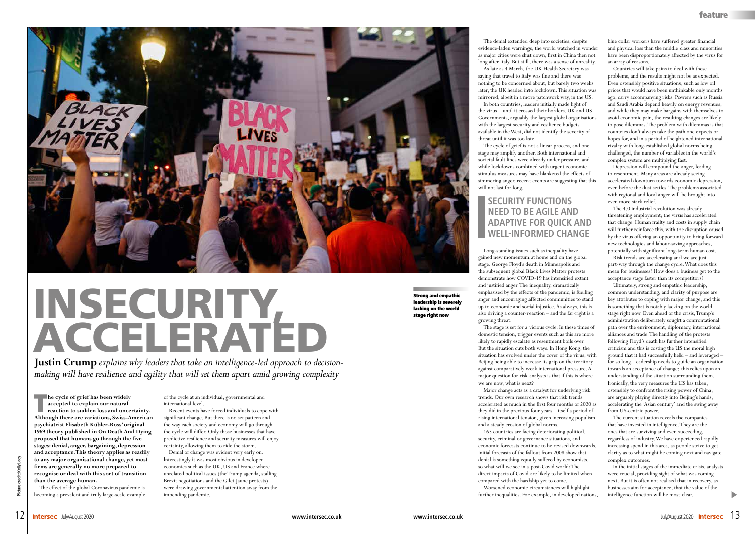

## INSECURITY, ACCELERATED

**Justin Crump** *explains why leaders that take an intelligence-led approach to decisionmaking will have resilience and agility that will set them apart amid growing complexity*

**The cycle of grief has been widely accepted to explain our natural reaction to sudden loss and uncertainty. Although there are variations, Swiss-American psychiatrist Elisabeth Kübler-Ross' original 1969 theory published in On Death And Dying proposed that humans go through the five stages: denial, anger, bargaining, depression and acceptance. This theory applies as readily to any major organisational change, yet most firms are generally no more prepared to recognise or deal with this sort of transition than the average human.**

The effect of the global Coronavirus pandemic is becoming a prevalent and truly large-scale example of the cycle at an individual, governmental and international level.

Recent events have forced individuals to cope with significant change. But there is no set pattern and the way each society and economy will go through the cycle will differ. Only those businesses that have predictive resilience and security measures will enjoy certainty, allowing them to ride the storm.

Denial of change was evident very early on. Interestingly it was most obvious in developed economies such as the UK, US and France where unrelated political issues (the Trump agenda, stalling Brexit negotiations and the Gilet Jaune protests) were drawing governmental attention away from the impending pandemic.

The denial extended deep into societies; despite evidence-laden warnings, the world watched in wonder as major cities were shut down, first in China then not long after Italy. But still, there was a sense of unreality.

As late as 4 March, the UK Health Secretary was saying that travel to Italy was fine and there was nothing to be concerned about, but barely two weeks later, the UK headed into lockdown. This situation was mirrored, albeit in a more patchwork way, in the US.

In both countries, leaders initially made light of the virus – until it crossed their borders. UK and US Governments, arguably the largest global organisations with the largest security and resilience budgets available in the West, did not identify the severity of threat until it was too late.

The cycle of grief is not a linear process, and one stage may amplify another. Both international and societal fault lines were already under pressure, and while lockdowns combined with urgent economic stimulus measures may have blanketed the effects of simmering anger, recent events are suggesting that this will not last for long.

Long-standing issues such as inequality have gained new momentum at home and on the global stage. George Floyd's death in Minneapolis and the subsequent global Black Lives Matter protests demonstrate how COVID-19 has intensified extant and justified anger. The inequality, dramatically emphasised by the effects of the pandemic, is fuelling anger and encouraging affected communities to stand up to economic and social injustice. As always, this is also driving a counter-reaction – and the far-right is a growing threat.

The stage is set for a vicious cycle. In these times of domestic tension, trigger events such as this are more likely to rapidly escalate as resentment boils over. But the situation cuts both ways. In Hong Kong, the situation has evolved under the cover of the virus, with Beijing being able to increase its grip on the territory against comparatively weak international pressure. A major question for risk analysts is that if this is where we are now, what is next?

Major change acts as a catalyst for underlying risk trends. Our own research shows that risk trends accelerated as much in the first four months of 2020 as they did in the previous four years – itself a period of rising international tension, given increasing populism and a steady erosion of global norms.

163 countries are facing deteriorating political, security, criminal or governance situations, and economic forecasts continue to be revised downwards. Initial forecasts of the fallout from 2008 show that denial is something equally suffered by economists, so what will we see in a post-Covid world? The direct impacts of Covid are likely to be limited when compared with the hardship yet to come.

Worsened economic circumstances will highlight further inequalities. For example, in developed nations,

blue collar workers have suffered greater financial and physical loss than the middle class and minorities have been disproportionately affected by the virus for an array of reasons.

Countries will take pains to deal with these problems, and the results might not be as expected. Even ostensibly positive situations, such as low oil prices that would have been unthinkable only months ago, carry accompanying risks. Powers such as Russia and Saudi Arabia depend heavily on energy revenues, and while they may make bargains with themselves to avoid economic pain, the resulting changes are likely to pose dilemmas. The problem with dilemmas is that countries don't always take the path one expects or hopes for, and in a period of heightened international rivalry with long-established global norms being challenged, the number of variables in the world's complex system are multiplying fast.

Depression will compound the anger, leading to resentment. Many areas are already seeing accelerated downturn towards economic depression, even before the dust settles. The problems associated with regional and local anger will be brought into even more stark relief.

The 4.0 industrial revolution was already threatening employment; the virus has accelerated that change. Human frailty and costs in supply chain will further reinforce this, with the disruption caused by the virus offering an opportunity to bring forward new technologies and labour-saving approaches, potentially with significant long-term human cost.

Risk trends are accelerating and we are just part-way through the change cycle. What does this mean for businesses? How does a business get to the acceptance stage faster than its competitors?

Ultimately, strong and empathic leadership, common understanding, and clarity of purpose are key attributes to coping with major change, and this is something that is notably lacking on the world stage right now. Even ahead of the crisis, Trump's administration deliberately sought a confrontational path over the environment, diplomacy, international alliances and trade. The handling of the protests following Floyd's death has further intensified criticism and this is costing the US the moral high ground that it had successfully held – and leveraged – for so long. Leadership needs to guide an organisation towards an acceptance of change; this relies upon an understanding of the situation surrounding them. Ironically, the very measures the US has taken, ostensibly to confront the rising power of China, are arguably playing directly into Beijing's hands, accelerating the 'Asian century' and the swing away from US-centric power.

The current situation reveals the companies that have invested in intelligence. They are the ones that are surviving and even succeeding, regardless of industry. We have experienced rapidly increasing spend in this area, as people strive to get clarity as to what might be coming next and navigate complex outcomes.

In the initial stages of the immediate crisis, analysts were crucial, providing sight of what was coming next. But it is often not realised that in recovery, as businesses aim for acceptance, that the value of the intelligence function will be most clear.

Strong and empathic leadership is severely lacking on the world stage right now

## **SECURITY FUNCTIONS NEED TO BE AGILE AND ADAPTIVE FOR QUICK AND WELL-INFORMED CHANGE**